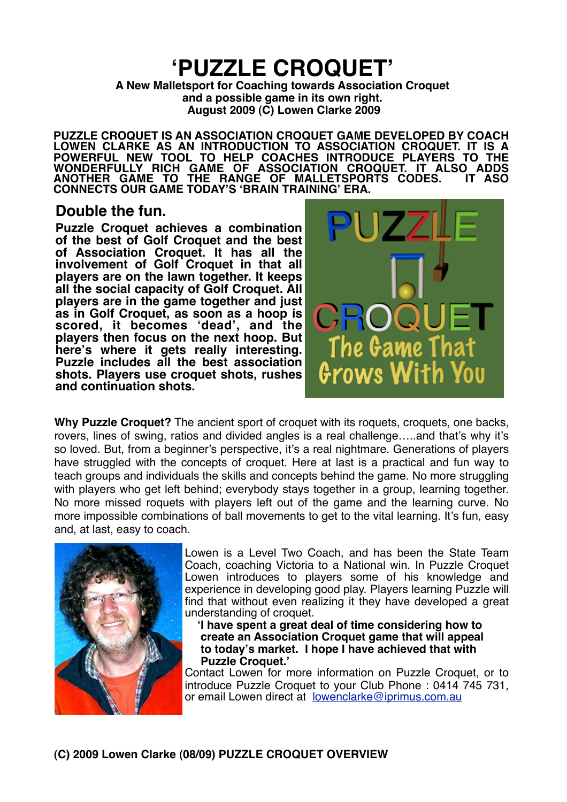# **ʻPUZZLE CROQUET'**

**A New Malletsport for Coaching towards Association Croquet and a possible game in its own right. August 2009 (C) Lowen Clarke 2009**

**PUZZLE CROQUET IS AN ASSOCIATION CROQUET GAME DEVELOPED BY COACH LOWEN CLARKE AS AN INTRODUCTION TO ASSOCIATION CROQUET. IT IS A POWERFUL NEW TOOL TO HELP COACHES INTRODUCE PLAYERS TO THE WONDERFULLY RICH GAME OF ASSOCIATION CROQUET. IT ALSO ADDS ANOTHER GAME TO THE RANGE OF MALLETSPORTS CODES. IT ASO CONNECTS OUR GAME TODAY'S ʻBRAIN TRAINING' ERA.**

# **Double the fun.**

**Puzzle Croquet achieves a combination of the best of Golf Croquet and the best of Association Croquet. It has all the involvement of Golf Croquet in that all players are on the lawn together. It keeps all the social capacity of Golf Croquet. All players are in the game together and just as in Golf Croquet, as soon as a hoop is scored, it becomes ʻdead', and the players then focus on the next hoop. But here's where it gets really interesting. Puzzle includes all the best association shots. Players use croquet shots, rushes and continuation shots.** 



**Why Puzzle Croquet?** The ancient sport of croquet with its roquets, croquets, one backs, rovers, lines of swing, ratios and divided angles is a real challenge…..and that's why it's so loved. But, from a beginner's perspective, it's a real nightmare. Generations of players have struggled with the concepts of croquet. Here at last is a practical and fun way to teach groups and individuals the skills and concepts behind the game. No more struggling with players who get left behind; everybody stays together in a group, learning together. No more missed roquets with players left out of the game and the learning curve. No more impossible combinations of ball movements to get to the vital learning. It's fun, easy and, at last, easy to coach.



Lowen is a Level Two Coach, and has been the State Team Coach, coaching Victoria to a National win. In Puzzle Croquet Lowen introduces to players some of his knowledge and experience in developing good play. Players learning Puzzle will find that without even realizing it they have developed a great understanding of croquet.

 **ʻI have spent a great deal of time considering how to create an Association Croquet game that will appeal to today's market. I hope I have achieved that with Puzzle Croquet.'**

Contact Lowen for more information on Puzzle Croquet, or to introduce Puzzle Croquet to your Club Phone : 0414 745 731, or email Lowen direct at [lowenclarke@iprimus.com.au](mailto:lowenclarke@iprimus.com.au)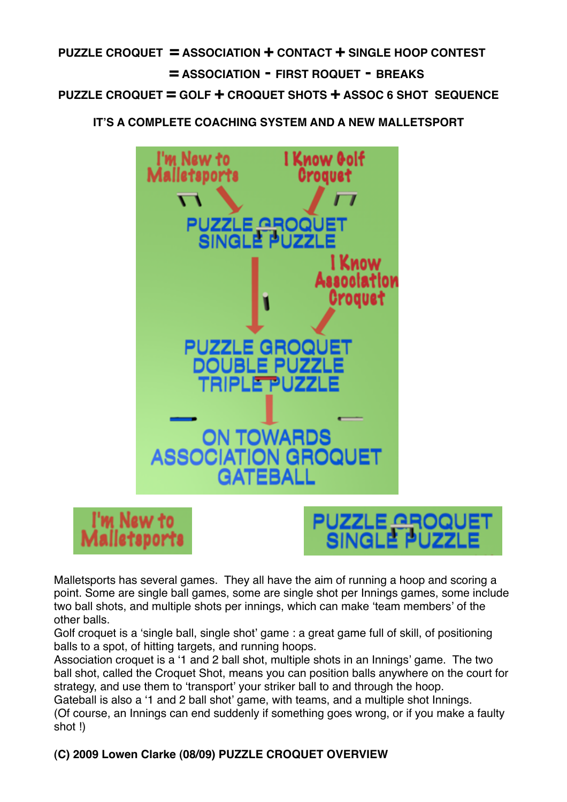# **PUZZLE CROQUET = ASSOCIATION + CONTACT + SINGLE HOOP CONTEST 
= ASSOCIATION - FIRST ROQUET - BREAKS PUZZLE CROQUET = GOLF + CROQUET SHOTS + ASSOC 6 SHOT SEQUENCE**

 **IT'S A COMPLETE COACHING SYSTEM AND A NEW MALLETSPORT**





Malletsports has several games. They all have the aim of running a hoop and scoring a point. Some are single ball games, some are single shot per Innings games, some include two ball shots, and multiple shots per innings, which can make ʻteam members' of the other balls.

Golf croquet is a ʻsingle ball, single shot' game : a great game full of skill, of positioning balls to a spot, of hitting targets, and running hoops.

Association croquet is a ʻ1 and 2 ball shot, multiple shots in an Innings' game. The two ball shot, called the Croquet Shot, means you can position balls anywhere on the court for strategy, and use them to ʻtransport' your striker ball to and through the hoop.

Gateball is also a ʻ1 and 2 ball shot' game, with teams, and a multiple shot Innings. (Of course, an Innings can end suddenly if something goes wrong, or if you make a faulty shot !)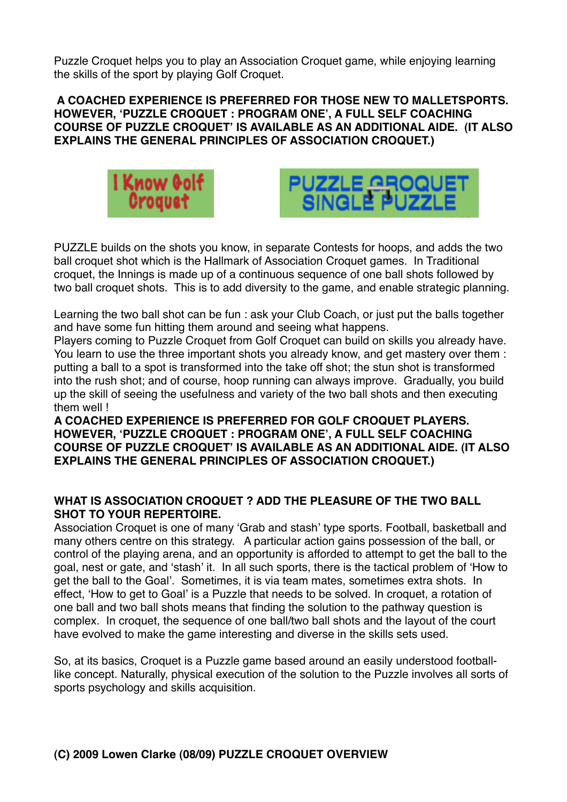Puzzle Croquet helps you to play an Association Croquet game, while enjoying learning the skills of the sport by playing Golf Croquet.

#### **A COACHED EXPERIENCE IS PREFERRED FOR THOSE NEW TO MALLETSPORTS. HOWEVER, ʻPUZZLE CROQUET : PROGRAM ONE', A FULL SELF COACHING COURSE OF PUZZLE CROQUET' IS AVAILABLE AS AN ADDITIONAL AIDE. (IT ALSO EXPLAINS THE GENERAL PRINCIPLES OF ASSOCIATION CROQUET.)**





PUZZLE builds on the shots you know, in separate Contests for hoops, and adds the two ball croquet shot which is the Hallmark of Association Croquet games. In Traditional croquet, the Innings is made up of a continuous sequence of one ball shots followed by two ball croquet shots. This is to add diversity to the game, and enable strategic planning.

Learning the two ball shot can be fun : ask your Club Coach, or just put the balls together and have some fun hitting them around and seeing what happens.

Players coming to Puzzle Croquet from Golf Croquet can build on skills you already have. You learn to use the three important shots you already know, and get mastery over them : putting a ball to a spot is transformed into the take off shot; the stun shot is transformed into the rush shot; and of course, hoop running can always improve. Gradually, you build up the skill of seeing the usefulness and variety of the two ball shots and then executing them well !

**A COACHED EXPERIENCE IS PREFERRED FOR GOLF CROQUET PLAYERS. HOWEVER, ʻPUZZLE CROQUET : PROGRAM ONE', A FULL SELF COACHING COURSE OF PUZZLE CROQUET' IS AVAILABLE AS AN ADDITIONAL AIDE. (IT ALSO EXPLAINS THE GENERAL PRINCIPLES OF ASSOCIATION CROQUET.)**

#### **WHAT IS ASSOCIATION CROQUET ? ADD THE PLEASURE OF THE TWO BALL SHOT TO YOUR REPERTOIRE.**

Association Croquet is one of many ʻGrab and stash' type sports. Football, basketball and many others centre on this strategy. A particular action gains possession of the ball, or control of the playing arena, and an opportunity is afforded to attempt to get the ball to the goal, nest or gate, and ʻstash' it. In all such sports, there is the tactical problem of ʻHow to get the ball to the Goal'. Sometimes, it is via team mates, sometimes extra shots. In effect, ʻHow to get to Goal' is a Puzzle that needs to be solved. In croquet, a rotation of one ball and two ball shots means that finding the solution to the pathway question is complex. In croquet, the sequence of one ball/two ball shots and the layout of the court have evolved to make the game interesting and diverse in the skills sets used.

So, at its basics, Croquet is a Puzzle game based around an easily understood footballlike concept. Naturally, physical execution of the solution to the Puzzle involves all sorts of sports psychology and skills acquisition.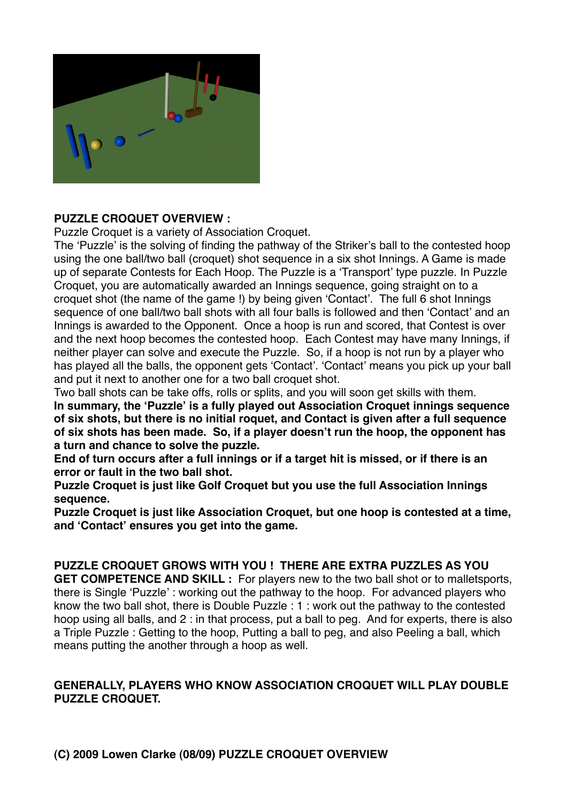

#### **PUZZLE CROQUET OVERVIEW :**

Puzzle Croquet is a variety of Association Croquet.

The ʻPuzzle' is the solving of finding the pathway of the Striker's ball to the contested hoop using the one ball/two ball (croquet) shot sequence in a six shot Innings. A Game is made up of separate Contests for Each Hoop. The Puzzle is a ʻTransport' type puzzle. In Puzzle Croquet, you are automatically awarded an Innings sequence, going straight on to a croquet shot (the name of the game !) by being given ʻContact'. The full 6 shot Innings sequence of one ball/two ball shots with all four balls is followed and then 'Contact' and an Innings is awarded to the Opponent. Once a hoop is run and scored, that Contest is over and the next hoop becomes the contested hoop. Each Contest may have many Innings, if neither player can solve and execute the Puzzle. So, if a hoop is not run by a player who has played all the balls, the opponent gets ʻContact'. ʻContact' means you pick up your ball and put it next to another one for a two ball croquet shot.

Two ball shots can be take offs, rolls or splits, and you will soon get skills with them.

**In summary, the ʻPuzzle' is a fully played out Association Croquet innings sequence of six shots, but there is no initial roquet, and Contact is given after a full sequence of six shots has been made. So, if a player doesn't run the hoop, the opponent has a turn and chance to solve the puzzle.**

**End of turn occurs after a full innings or if a target hit is missed, or if there is an error or fault in the two ball shot.**

**Puzzle Croquet is just like Golf Croquet but you use the full Association Innings sequence.**

**Puzzle Croquet is just like Association Croquet, but one hoop is contested at a time, and ʻContact' ensures you get into the game.**

#### **PUZZLE CROQUET GROWS WITH YOU ! THERE ARE EXTRA PUZZLES AS YOU**

**GET COMPETENCE AND SKILL :** For players new to the two ball shot or to malletsports, there is Single ʻPuzzle' : working out the pathway to the hoop. For advanced players who know the two ball shot, there is Double Puzzle : 1 : work out the pathway to the contested hoop using all balls, and 2 : in that process, put a ball to peg. And for experts, there is also a Triple Puzzle : Getting to the hoop, Putting a ball to peg, and also Peeling a ball, which means putting the another through a hoop as well.

#### **GENERALLY, PLAYERS WHO KNOW ASSOCIATION CROQUET WILL PLAY DOUBLE PUZZLE CROQUET.**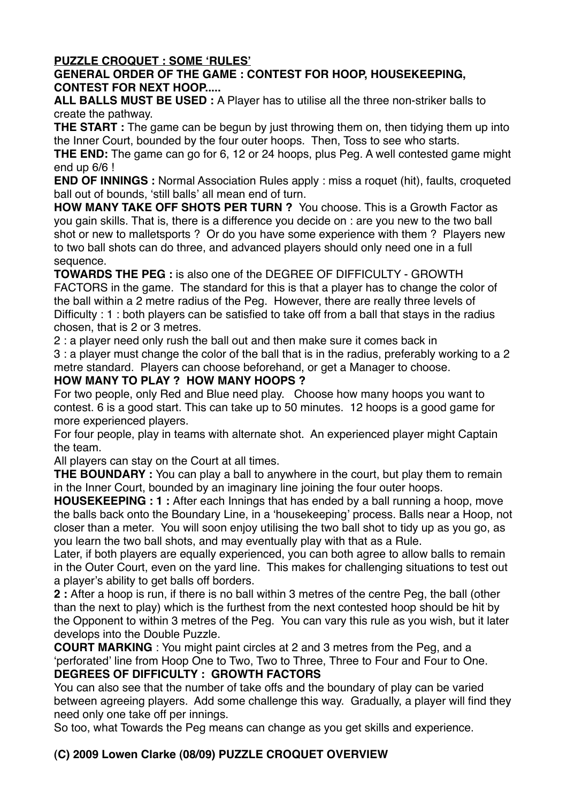## **PUZZLE CROQUET : SOME ʻRULES'**

## **GENERAL ORDER OF THE GAME : CONTEST FOR HOOP, HOUSEKEEPING, CONTEST FOR NEXT HOOP.....**

**ALL BALLS MUST BE USED :** A Player has to utilise all the three non-striker balls to create the pathway.

**THE START :** The game can be begun by just throwing them on, then tidying them up into the Inner Court, bounded by the four outer hoops. Then, Toss to see who starts.

**THE END:** The game can go for 6, 12 or 24 hoops, plus Peg. A well contested game might end up 6/6 !

**END OF INNINGS :** Normal Association Rules apply : miss a roquet (hit), faults, croqueted ball out of bounds, ʻstill balls' all mean end of turn.

**HOW MANY TAKE OFF SHOTS PER TURN ?** You choose. This is a Growth Factor as you gain skills. That is, there is a difference you decide on : are you new to the two ball shot or new to malletsports ? Or do you have some experience with them ? Players new to two ball shots can do three, and advanced players should only need one in a full sequence.

**TOWARDS THE PEG :** is also one of the DEGREE OF DIFFICULTY - GROWTH FACTORS in the game. The standard for this is that a player has to change the color of the ball within a 2 metre radius of the Peg. However, there are really three levels of Difficulty : 1 : both players can be satisfied to take off from a ball that stays in the radius chosen, that is 2 or 3 metres.

2 : a player need only rush the ball out and then make sure it comes back in

3 : a player must change the color of the ball that is in the radius, preferably working to a 2 metre standard. Players can choose beforehand, or get a Manager to choose.

#### **HOW MANY TO PLAY ? HOW MANY HOOPS ?**

For two people, only Red and Blue need play. Choose how many hoops you want to contest. 6 is a good start. This can take up to 50 minutes. 12 hoops is a good game for more experienced players.

For four people, play in teams with alternate shot. An experienced player might Captain the team.

All players can stay on the Court at all times.

**THE BOUNDARY** : You can play a ball to anywhere in the court, but play them to remain in the Inner Court, bounded by an imaginary line joining the four outer hoops.

**HOUSEKEEPING : 1 :** After each Innings that has ended by a ball running a hoop, move the balls back onto the Boundary Line, in a ʻhousekeeping' process. Balls near a Hoop, not closer than a meter. You will soon enjoy utilising the two ball shot to tidy up as you go, as you learn the two ball shots, and may eventually play with that as a Rule.

Later, if both players are equally experienced, you can both agree to allow balls to remain in the Outer Court, even on the yard line. This makes for challenging situations to test out a player's ability to get balls off borders.

**2 :** After a hoop is run, if there is no ball within 3 metres of the centre Peg, the ball (other than the next to play) which is the furthest from the next contested hoop should be hit by the Opponent to within 3 metres of the Peg. You can vary this rule as you wish, but it later develops into the Double Puzzle.

**COURT MARKING** : You might paint circles at 2 and 3 metres from the Peg, and a ʻperforated' line from Hoop One to Two, Two to Three, Three to Four and Four to One. **DEGREES OF DIFFICULTY : GROWTH FACTORS** 

You can also see that the number of take offs and the boundary of play can be varied between agreeing players. Add some challenge this way. Gradually, a player will find they need only one take off per innings.

So too, what Towards the Peg means can change as you get skills and experience.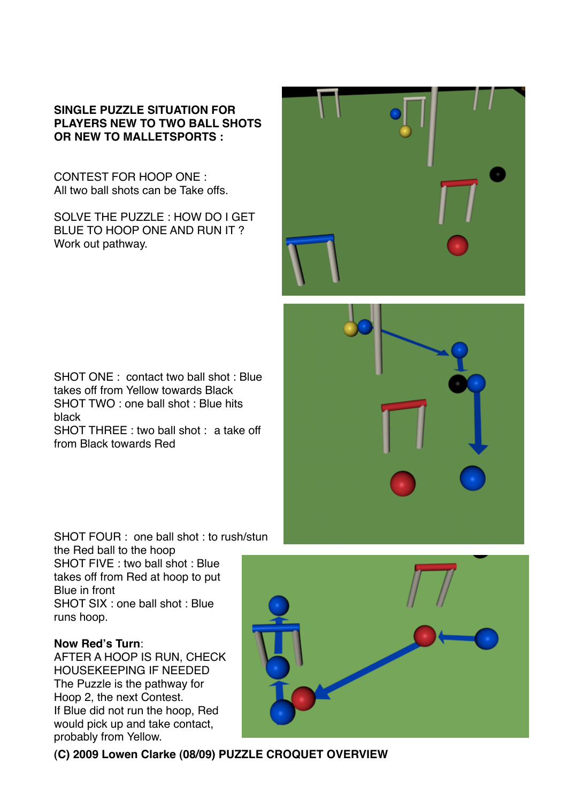#### **SINGLE PUZZLE SITUATION FOR PLAYERS NEW TO TWO BALL SHOTS OR NEW TO MALLETSPORTS :**

CONTEST FOR HOOP ONE : All two ball shots can be Take offs.

SOLVE THE PUZZLE : HOW DO I GET BLUE TO HOOP ONE AND RUN IT ? Work out pathway.



SHOT ONE : contact two ball shot : Blue takes off from Yellow towards Black SHOT TWO : one ball shot : Blue hits black

SHOT THREE : two ball shot : a take off from Black towards Red

SHOT FOUR : one ball shot : to rush/stun the Red ball to the hoop SHOT FIVE : two ball shot : Blue takes off from Red at hoop to put Blue in front SHOT SIX : one ball shot : Blue runs hoop.

#### **Now Red's Turn**:

AFTER A HOOP IS RUN, CHECK HOUSEKEEPING IF NEEDED The Puzzle is the pathway for Hoop 2, the next Contest. If Blue did not run the hoop, Red would pick up and take contact, probably from Yellow.



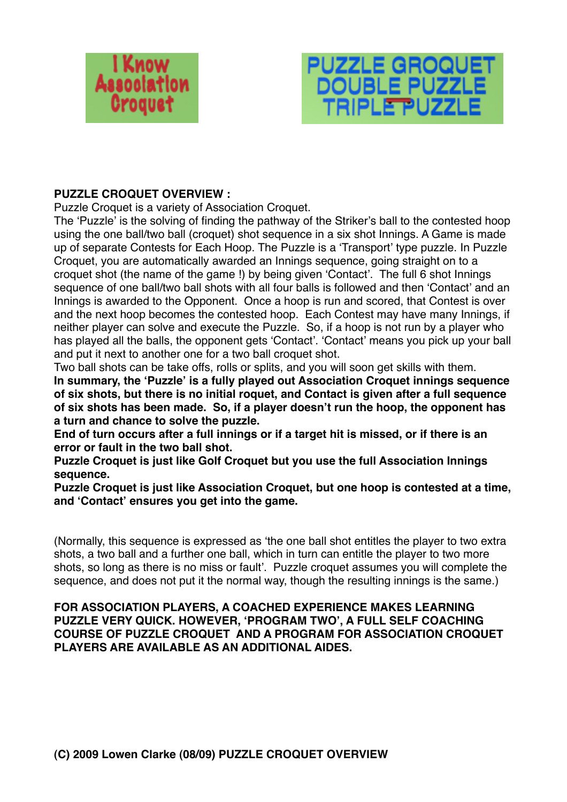



## **PUZZLE CROQUET OVERVIEW :**

Puzzle Croquet is a variety of Association Croquet.

The ʻPuzzle' is the solving of finding the pathway of the Striker's ball to the contested hoop using the one ball/two ball (croquet) shot sequence in a six shot Innings. A Game is made up of separate Contests for Each Hoop. The Puzzle is a ʻTransport' type puzzle. In Puzzle Croquet, you are automatically awarded an Innings sequence, going straight on to a croquet shot (the name of the game !) by being given ʻContact'. The full 6 shot Innings sequence of one ball/two ball shots with all four balls is followed and then ʻContact' and an Innings is awarded to the Opponent. Once a hoop is run and scored, that Contest is over and the next hoop becomes the contested hoop. Each Contest may have many Innings, if neither player can solve and execute the Puzzle. So, if a hoop is not run by a player who has played all the balls, the opponent gets ʻContact'. ʻContact' means you pick up your ball and put it next to another one for a two ball croquet shot.

Two ball shots can be take offs, rolls or splits, and you will soon get skills with them. **In summary, the ʻPuzzle' is a fully played out Association Croquet innings sequence of six shots, but there is no initial roquet, and Contact is given after a full sequence of six shots has been made. So, if a player doesn't run the hoop, the opponent has a turn and chance to solve the puzzle.**

**End of turn occurs after a full innings or if a target hit is missed, or if there is an error or fault in the two ball shot.**

**Puzzle Croquet is just like Golf Croquet but you use the full Association Innings sequence.**

**Puzzle Croquet is just like Association Croquet, but one hoop is contested at a time, and ʻContact' ensures you get into the game.**

(Normally, this sequence is expressed as ʻthe one ball shot entitles the player to two extra shots, a two ball and a further one ball, which in turn can entitle the player to two more shots, so long as there is no miss or fault'. Puzzle croquet assumes you will complete the sequence, and does not put it the normal way, though the resulting innings is the same.)

#### **FOR ASSOCIATION PLAYERS, A COACHED EXPERIENCE MAKES LEARNING PUZZLE VERY QUICK. HOWEVER, ʻPROGRAM TWO', A FULL SELF COACHING COURSE OF PUZZLE CROQUET AND A PROGRAM FOR ASSOCIATION CROQUET PLAYERS ARE AVAILABLE AS AN ADDITIONAL AIDES.**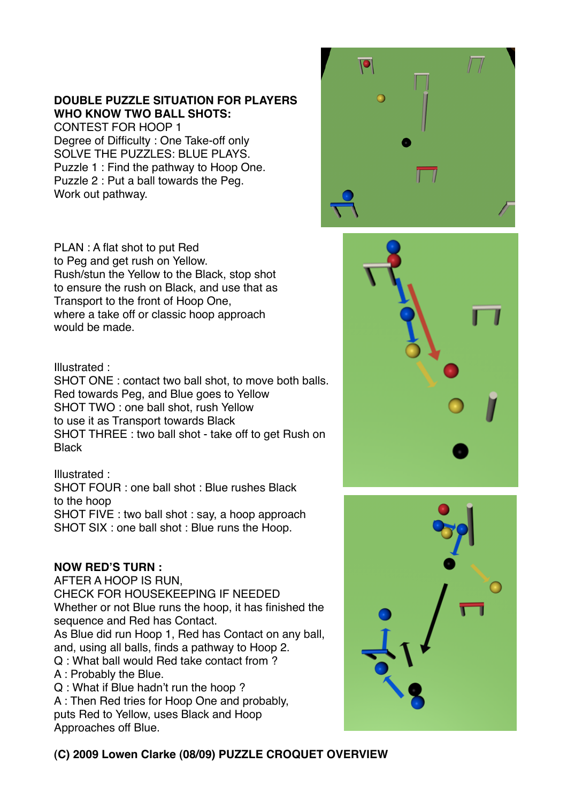# **DOUBLE PUZZLE SITUATION FOR PLAYERS WHO KNOW TWO BALL SHOTS:**

CONTEST FOR HOOP 1 Degree of Difficulty : One Take-off only SOLVE THE PUZZLES: BLUE PLAYS. Puzzle 1 : Find the pathway to Hoop One. Puzzle 2 : Put a ball towards the Peg. Work out pathway.

PLAN : A flat shot to put Red to Peg and get rush on Yellow. Rush/stun the Yellow to the Black, stop shot to ensure the rush on Black, and use that as Transport to the front of Hoop One, where a take off or classic hoop approach would be made.

#### Illustrated :

SHOT ONE : contact two ball shot, to move both balls. Red towards Peg, and Blue goes to Yellow SHOT TWO : one ball shot, rush Yellow to use it as Transport towards Black SHOT THREE : two ball shot - take off to get Rush on **Black** 

# Illustrated :

SHOT FOUR : one ball shot : Blue rushes Black to the hoop SHOT FIVE : two ball shot : say, a hoop approach

SHOT SIX : one ball shot : Blue runs the Hoop.

# **NOW RED'S TURN :**

AFTER A HOOP IS RUN, CHECK FOR HOUSEKEEPING IF NEEDED Whether or not Blue runs the hoop, it has finished the sequence and Red has Contact. As Blue did run Hoop 1, Red has Contact on any ball, and, using all balls, finds a pathway to Hoop 2. Q : What ball would Red take contact from ? A : Probably the Blue. Q : What if Blue hadn't run the hoop ?

A : Then Red tries for Hoop One and probably, puts Red to Yellow, uses Black and Hoop Approaches off Blue.







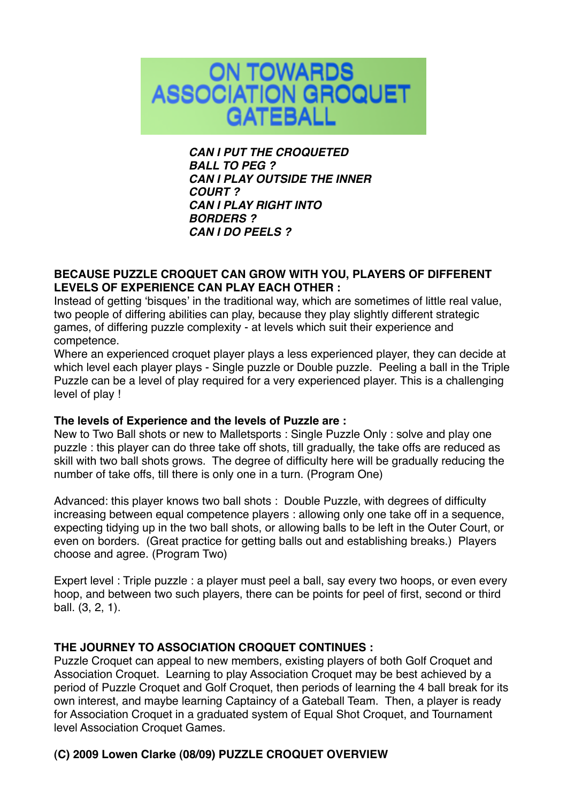

*CAN I PUT THE CROQUETED BALL TO PEG ? CAN I PLAY OUTSIDE THE INNER COURT ? CAN I PLAY RIGHT INTO BORDERS ? CAN I DO PEELS ?*

#### **BECAUSE PUZZLE CROQUET CAN GROW WITH YOU, PLAYERS OF DIFFERENT LEVELS OF EXPERIENCE CAN PLAY EACH OTHER :**

Instead of getting ʻbisques' in the traditional way, which are sometimes of little real value, two people of differing abilities can play, because they play slightly different strategic games, of differing puzzle complexity - at levels which suit their experience and competence.

Where an experienced croquet player plays a less experienced player, they can decide at which level each player plays - Single puzzle or Double puzzle. Peeling a ball in the Triple Puzzle can be a level of play required for a very experienced player. This is a challenging level of play !

#### **The levels of Experience and the levels of Puzzle are :**

New to Two Ball shots or new to Malletsports : Single Puzzle Only : solve and play one puzzle : this player can do three take off shots, till gradually, the take offs are reduced as skill with two ball shots grows. The degree of difficulty here will be gradually reducing the number of take offs, till there is only one in a turn. (Program One)

Advanced: this player knows two ball shots : Double Puzzle, with degrees of difficulty increasing between equal competence players : allowing only one take off in a sequence, expecting tidying up in the two ball shots, or allowing balls to be left in the Outer Court, or even on borders. (Great practice for getting balls out and establishing breaks.) Players choose and agree. (Program Two)

Expert level : Triple puzzle : a player must peel a ball, say every two hoops, or even every hoop, and between two such players, there can be points for peel of first, second or third ball. (3, 2, 1).

#### **THE JOURNEY TO ASSOCIATION CROQUET CONTINUES :**

Puzzle Croquet can appeal to new members, existing players of both Golf Croquet and Association Croquet. Learning to play Association Croquet may be best achieved by a period of Puzzle Croquet and Golf Croquet, then periods of learning the 4 ball break for its own interest, and maybe learning Captaincy of a Gateball Team. Then, a player is ready for Association Croquet in a graduated system of Equal Shot Croquet, and Tournament level Association Croquet Games.